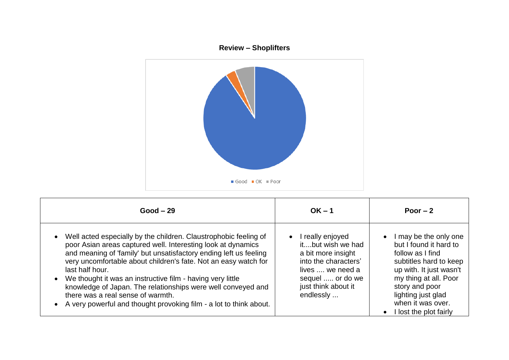

| $Good - 29$                                                                                                                                                                                                                                                                                                                                                                                                                                                                                                                          | $OK - 1$                                                                                                                                                                      | Poor $-2$                                                                                                                                                                                                                                |
|--------------------------------------------------------------------------------------------------------------------------------------------------------------------------------------------------------------------------------------------------------------------------------------------------------------------------------------------------------------------------------------------------------------------------------------------------------------------------------------------------------------------------------------|-------------------------------------------------------------------------------------------------------------------------------------------------------------------------------|------------------------------------------------------------------------------------------------------------------------------------------------------------------------------------------------------------------------------------------|
| Well acted especially by the children. Claustrophobic feeling of<br>poor Asian areas captured well. Interesting look at dynamics<br>and meaning of 'family' but unsatisfactory ending left us feeling<br>very uncomfortable about children's fate. Not an easy watch for<br>last half hour.<br>We thought it was an instructive film - having very little<br>knowledge of Japan. The relationships were well conveyed and<br>there was a real sense of warmth.<br>A very powerful and thought provoking film - a lot to think about. | I really enjoyed<br>$\bullet$<br>itbut wish we had<br>a bit more insight<br>into the characters'<br>lives , we need a<br>sequel  or do we<br>just think about it<br>endlessly | I may be the only one<br>but I found it hard to<br>follow as I find<br>subtitles hard to keep<br>up with. It just wasn't<br>my thing at all. Poor<br>story and poor<br>lighting just glad<br>when it was over.<br>I lost the plot fairly |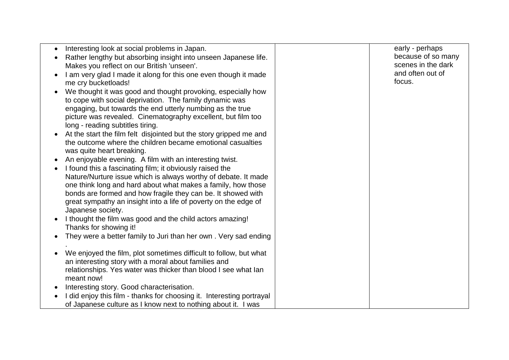| Interesting look at social problems in Japan.                         | early - perhaps    |
|-----------------------------------------------------------------------|--------------------|
| Rather lengthy but absorbing insight into unseen Japanese life.       | because of so many |
| Makes you reflect on our British 'unseen'.                            | scenes in the dark |
| I am very glad I made it along for this one even though it made       | and often out of   |
| me cry bucketloads!                                                   | focus.             |
| We thought it was good and thought provoking, especially how          |                    |
| to cope with social deprivation. The family dynamic was               |                    |
| engaging, but towards the end utterly numbing as the true             |                    |
| picture was revealed. Cinematography excellent, but film too          |                    |
| long - reading subtitles tiring.                                      |                    |
| At the start the film felt disjointed but the story gripped me and    |                    |
| the outcome where the children became emotional casualties            |                    |
| was quite heart breaking.                                             |                    |
|                                                                       |                    |
| An enjoyable evening. A film with an interesting twist.               |                    |
| I found this a fascinating film; it obviously raised the              |                    |
| Nature/Nurture issue which is always worthy of debate. It made        |                    |
| one think long and hard about what makes a family, how those          |                    |
| bonds are formed and how fragile they can be. It showed with          |                    |
| great sympathy an insight into a life of poverty on the edge of       |                    |
| Japanese society.                                                     |                    |
| I thought the film was good and the child actors amazing!             |                    |
| Thanks for showing it!                                                |                    |
| They were a better family to Juri than her own. Very sad ending       |                    |
|                                                                       |                    |
| We enjoyed the film, plot sometimes difficult to follow, but what     |                    |
| an interesting story with a moral about families and                  |                    |
| relationships. Yes water was thicker than blood I see what lan        |                    |
| meant now!                                                            |                    |
| Interesting story. Good characterisation.                             |                    |
| I did enjoy this film - thanks for choosing it. Interesting portrayal |                    |
| of Japanese culture as I know next to nothing about it. I was         |                    |
|                                                                       |                    |